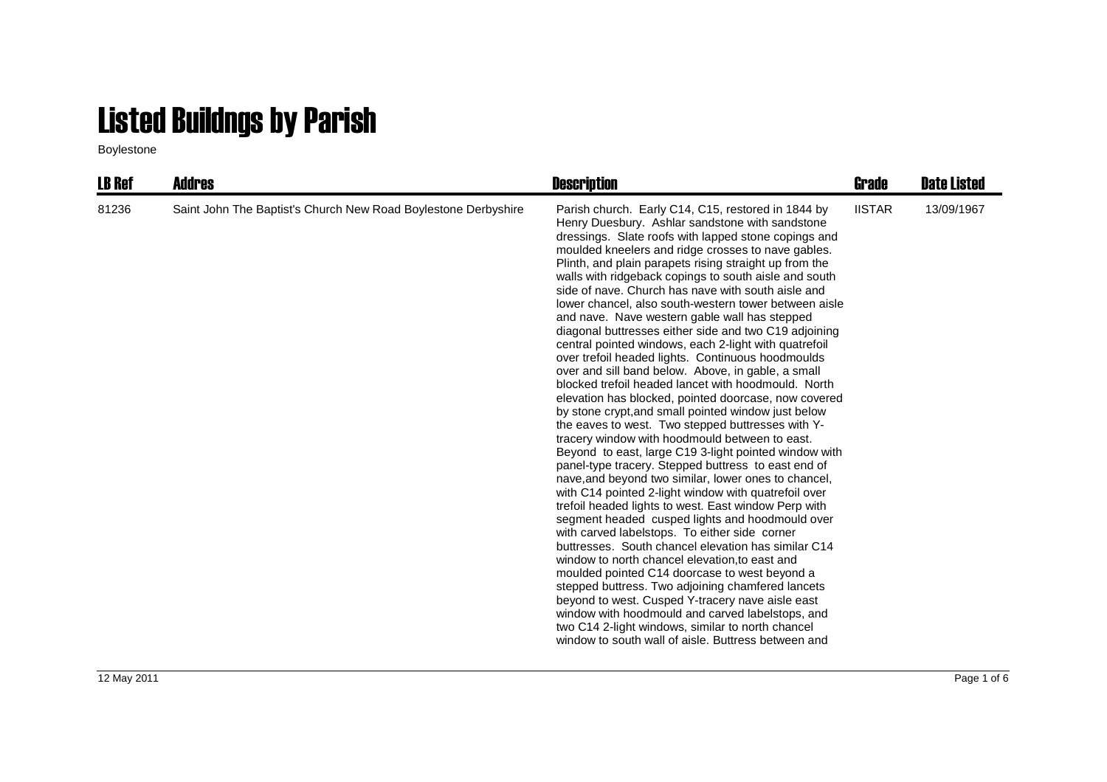## Listed Buildngs by Parish

Boylestone

| <b>LB Ref</b> | Addres                                                         | <b>Description</b>                                                                                                                                                                                                                                                                                                                                                                                                                                                                                                                                                                                                                                                                                                                                                                                                                                                                                                                                                                                                                                                                                                                                                                                                                                                                                                                                                                                                                                                                                                                                                                                                                                                                                                                                                                                                                              | Grade         | <b>Date Listed</b> |
|---------------|----------------------------------------------------------------|-------------------------------------------------------------------------------------------------------------------------------------------------------------------------------------------------------------------------------------------------------------------------------------------------------------------------------------------------------------------------------------------------------------------------------------------------------------------------------------------------------------------------------------------------------------------------------------------------------------------------------------------------------------------------------------------------------------------------------------------------------------------------------------------------------------------------------------------------------------------------------------------------------------------------------------------------------------------------------------------------------------------------------------------------------------------------------------------------------------------------------------------------------------------------------------------------------------------------------------------------------------------------------------------------------------------------------------------------------------------------------------------------------------------------------------------------------------------------------------------------------------------------------------------------------------------------------------------------------------------------------------------------------------------------------------------------------------------------------------------------------------------------------------------------------------------------------------------------|---------------|--------------------|
| 81236         | Saint John The Baptist's Church New Road Boylestone Derbyshire | Parish church. Early C14, C15, restored in 1844 by<br>Henry Duesbury. Ashlar sandstone with sandstone<br>dressings. Slate roofs with lapped stone copings and<br>moulded kneelers and ridge crosses to nave gables.<br>Plinth, and plain parapets rising straight up from the<br>walls with ridgeback copings to south aisle and south<br>side of nave. Church has nave with south aisle and<br>lower chancel, also south-western tower between aisle<br>and nave. Nave western gable wall has stepped<br>diagonal buttresses either side and two C19 adjoining<br>central pointed windows, each 2-light with quatrefoil<br>over trefoil headed lights. Continuous hoodmoulds<br>over and sill band below. Above, in gable, a small<br>blocked trefoil headed lancet with hoodmould. North<br>elevation has blocked, pointed doorcase, now covered<br>by stone crypt, and small pointed window just below<br>the eaves to west. Two stepped buttresses with Y-<br>tracery window with hoodmould between to east.<br>Beyond to east, large C19 3-light pointed window with<br>panel-type tracery. Stepped buttress to east end of<br>nave, and beyond two similar, lower ones to chancel,<br>with C14 pointed 2-light window with quatrefoil over<br>trefoil headed lights to west. East window Perp with<br>segment headed cusped lights and hoodmould over<br>with carved labelstops. To either side corner<br>buttresses. South chancel elevation has similar C14<br>window to north chancel elevation, to east and<br>moulded pointed C14 doorcase to west beyond a<br>stepped buttress. Two adjoining chamfered lancets<br>beyond to west. Cusped Y-tracery nave aisle east<br>window with hoodmould and carved labelstops, and<br>two C14 2-light windows, similar to north chancel<br>window to south wall of aisle. Buttress between and | <b>IISTAR</b> | 13/09/1967         |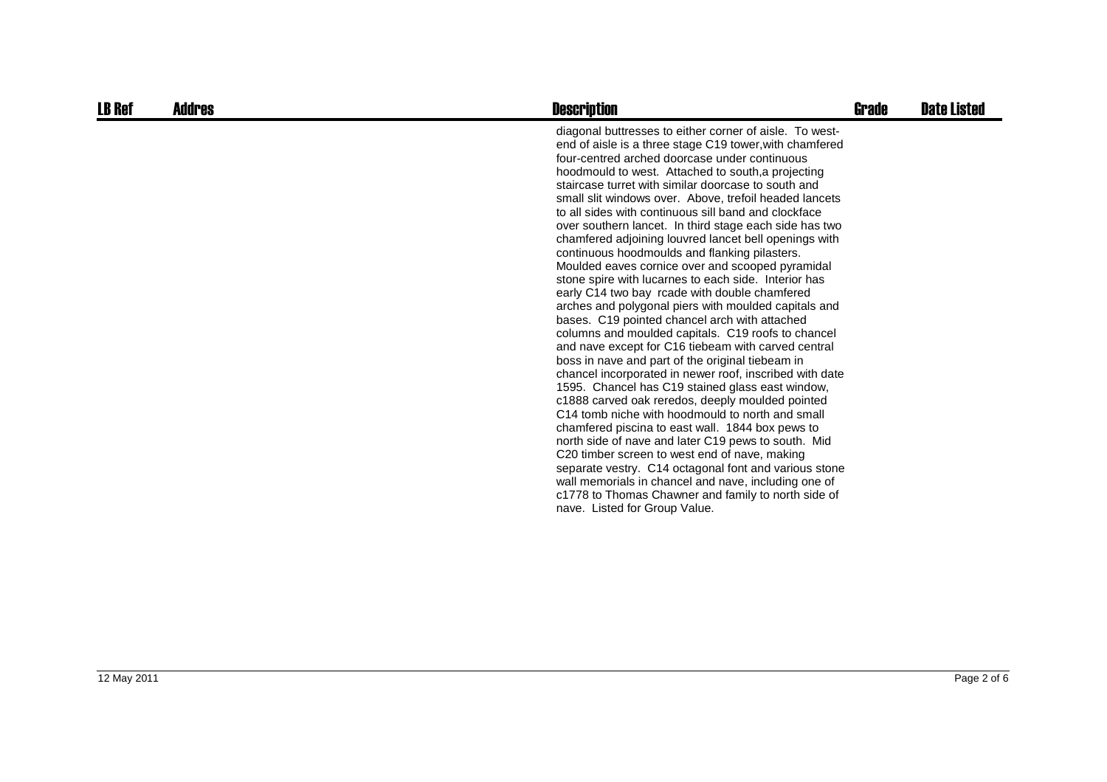| <b>LB Ref</b> | Addres | <b>Description</b>                                                                                                                                                                                                                                                                                                                                                                                                                                                                                                                                                                                                                                                                                                                                                                                                                                                                                                                                                                                                                                                                                                                                                                                                                                                                                                                                                                                                                                                                                                                                                                                        | Grade | <b>Date Listed</b> |
|---------------|--------|-----------------------------------------------------------------------------------------------------------------------------------------------------------------------------------------------------------------------------------------------------------------------------------------------------------------------------------------------------------------------------------------------------------------------------------------------------------------------------------------------------------------------------------------------------------------------------------------------------------------------------------------------------------------------------------------------------------------------------------------------------------------------------------------------------------------------------------------------------------------------------------------------------------------------------------------------------------------------------------------------------------------------------------------------------------------------------------------------------------------------------------------------------------------------------------------------------------------------------------------------------------------------------------------------------------------------------------------------------------------------------------------------------------------------------------------------------------------------------------------------------------------------------------------------------------------------------------------------------------|-------|--------------------|
|               |        | diagonal buttresses to either corner of aisle. To west-<br>end of aisle is a three stage C19 tower, with chamfered<br>four-centred arched doorcase under continuous<br>hoodmould to west. Attached to south, a projecting<br>staircase turret with similar doorcase to south and<br>small slit windows over. Above, trefoil headed lancets<br>to all sides with continuous sill band and clockface<br>over southern lancet. In third stage each side has two<br>chamfered adjoining louvred lancet bell openings with<br>continuous hoodmoulds and flanking pilasters.<br>Moulded eaves cornice over and scooped pyramidal<br>stone spire with lucarnes to each side. Interior has<br>early C14 two bay rcade with double chamfered<br>arches and polygonal piers with moulded capitals and<br>bases. C19 pointed chancel arch with attached<br>columns and moulded capitals. C19 roofs to chancel<br>and nave except for C16 tiebeam with carved central<br>boss in nave and part of the original tiebeam in<br>chancel incorporated in newer roof, inscribed with date<br>1595. Chancel has C19 stained glass east window,<br>c1888 carved oak reredos, deeply moulded pointed<br>C14 tomb niche with hoodmould to north and small<br>chamfered piscina to east wall. 1844 box pews to<br>north side of nave and later C19 pews to south. Mid<br>C20 timber screen to west end of nave, making<br>separate vestry. C14 octagonal font and various stone<br>wall memorials in chancel and nave, including one of<br>c1778 to Thomas Chawner and family to north side of<br>nave. Listed for Group Value. |       |                    |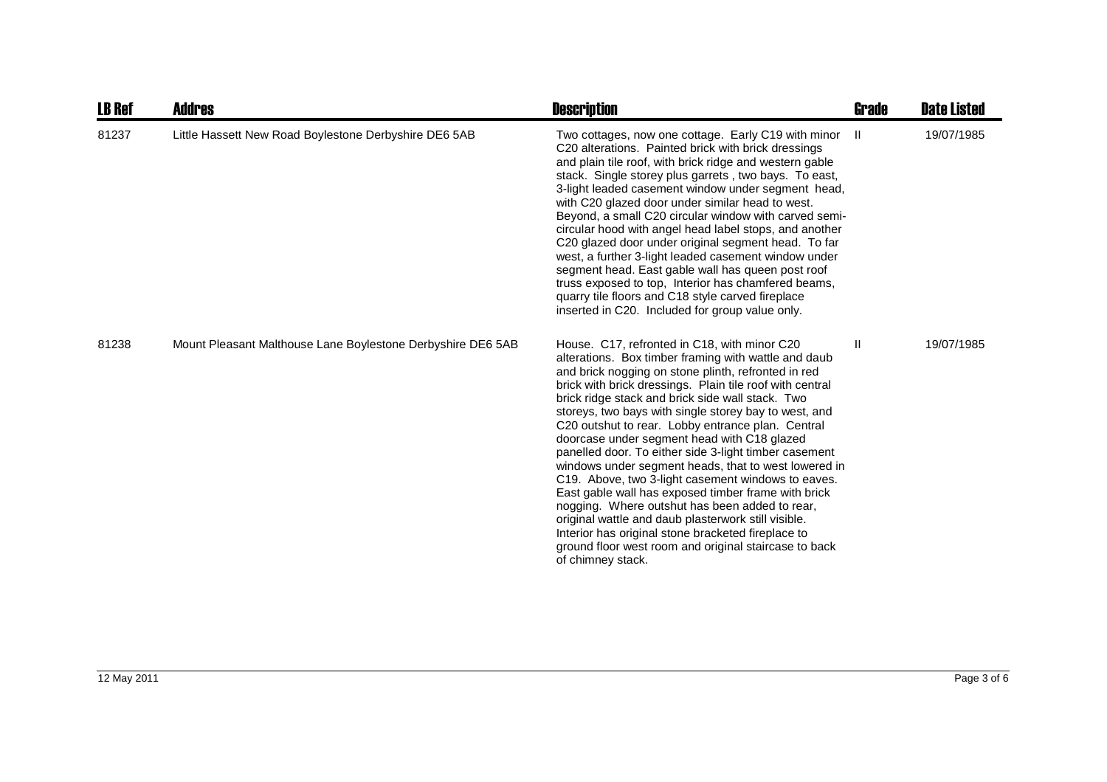| <b>LB Ref</b> | <b>Addres</b>                                               | <b>Description</b>                                                                                                                                                                                                                                                                                                                                                                                                                                                                                                                                                                                                                                                                                                                                                                                                                                                                                                  | <b>Grade</b> | <b>Date Listed</b> |
|---------------|-------------------------------------------------------------|---------------------------------------------------------------------------------------------------------------------------------------------------------------------------------------------------------------------------------------------------------------------------------------------------------------------------------------------------------------------------------------------------------------------------------------------------------------------------------------------------------------------------------------------------------------------------------------------------------------------------------------------------------------------------------------------------------------------------------------------------------------------------------------------------------------------------------------------------------------------------------------------------------------------|--------------|--------------------|
| 81237         | Little Hassett New Road Boylestone Derbyshire DE6 5AB       | Two cottages, now one cottage. Early C19 with minor<br>C20 alterations. Painted brick with brick dressings<br>and plain tile roof, with brick ridge and western gable<br>stack. Single storey plus garrets, two bays. To east,<br>3-light leaded casement window under segment head,<br>with C20 glazed door under similar head to west.<br>Beyond, a small C20 circular window with carved semi-<br>circular hood with angel head label stops, and another<br>C20 glazed door under original segment head. To far<br>west, a further 3-light leaded casement window under<br>segment head. East gable wall has queen post roof<br>truss exposed to top, Interior has chamfered beams,<br>quarry tile floors and C18 style carved fireplace<br>inserted in C20. Included for group value only.                                                                                                                      | - II         | 19/07/1985         |
| 81238         | Mount Pleasant Malthouse Lane Boylestone Derbyshire DE6 5AB | House. C17, refronted in C18, with minor C20<br>alterations. Box timber framing with wattle and daub<br>and brick nogging on stone plinth, refronted in red<br>brick with brick dressings. Plain tile roof with central<br>brick ridge stack and brick side wall stack. Two<br>storeys, two bays with single storey bay to west, and<br>C20 outshut to rear. Lobby entrance plan. Central<br>doorcase under segment head with C18 glazed<br>panelled door. To either side 3-light timber casement<br>windows under segment heads, that to west lowered in<br>C19. Above, two 3-light casement windows to eaves.<br>East gable wall has exposed timber frame with brick<br>nogging. Where outshut has been added to rear,<br>original wattle and daub plasterwork still visible.<br>Interior has original stone bracketed fireplace to<br>ground floor west room and original staircase to back<br>of chimney stack. | Ш            | 19/07/1985         |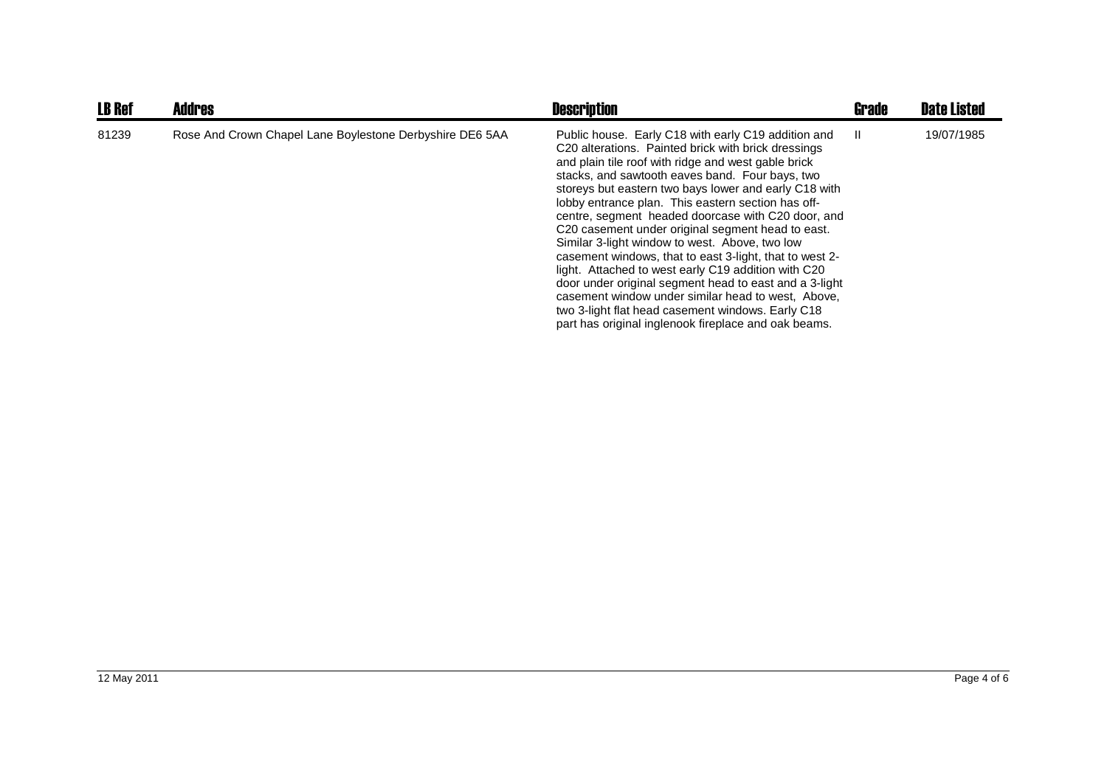| <b>LB Ref</b> | <b>Addres</b>                                            | <b>Description</b>                                                                                                                                                                                                                                                                                                                                                                                                                                                                                                                                                                                                                                                                                                                                                                                                                              | <b>Grade</b> | <b>Date Listed</b> |
|---------------|----------------------------------------------------------|-------------------------------------------------------------------------------------------------------------------------------------------------------------------------------------------------------------------------------------------------------------------------------------------------------------------------------------------------------------------------------------------------------------------------------------------------------------------------------------------------------------------------------------------------------------------------------------------------------------------------------------------------------------------------------------------------------------------------------------------------------------------------------------------------------------------------------------------------|--------------|--------------------|
| 81239         | Rose And Crown Chapel Lane Boylestone Derbyshire DE6 5AA | Public house. Early C18 with early C19 addition and<br>C20 alterations. Painted brick with brick dressings<br>and plain tile roof with ridge and west gable brick<br>stacks, and sawtooth eaves band. Four bays, two<br>storeys but eastern two bays lower and early C18 with<br>lobby entrance plan. This eastern section has off-<br>centre, segment headed doorcase with C20 door, and<br>C20 casement under original segment head to east.<br>Similar 3-light window to west. Above, two low<br>casement windows, that to east 3-light, that to west 2-<br>light. Attached to west early C19 addition with C20<br>door under original segment head to east and a 3-light<br>casement window under similar head to west. Above,<br>two 3-light flat head casement windows. Early C18<br>part has original inglenook fireplace and oak beams. | H.           | 19/07/1985         |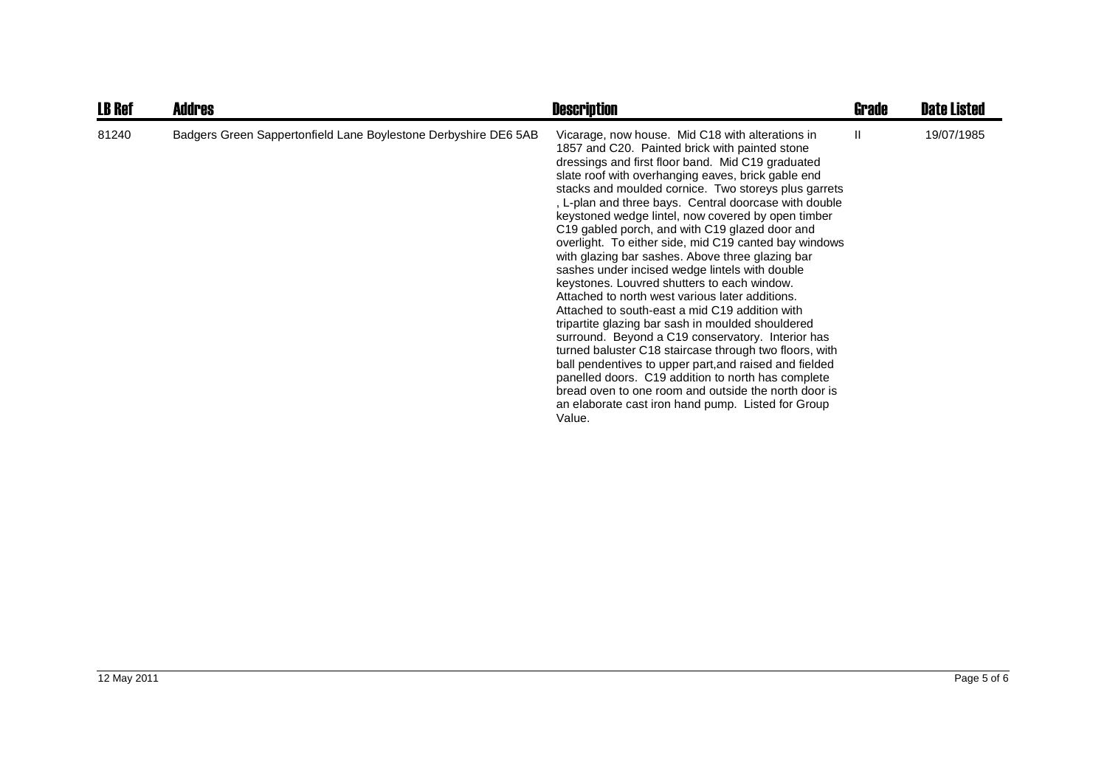| <b>LB Ref</b> | <b>Addres</b>                                                   | <b>Description</b>                                                                                                                                                                                                                                                                                                                                                                                                                                                                                                                                                                                                                                                                                                                                                                                                                                                                                                                                                                                                                                                                                                                                                    | <b>Grade</b> | <b>Date Listed</b> |
|---------------|-----------------------------------------------------------------|-----------------------------------------------------------------------------------------------------------------------------------------------------------------------------------------------------------------------------------------------------------------------------------------------------------------------------------------------------------------------------------------------------------------------------------------------------------------------------------------------------------------------------------------------------------------------------------------------------------------------------------------------------------------------------------------------------------------------------------------------------------------------------------------------------------------------------------------------------------------------------------------------------------------------------------------------------------------------------------------------------------------------------------------------------------------------------------------------------------------------------------------------------------------------|--------------|--------------------|
| 81240         | Badgers Green Sappertonfield Lane Boylestone Derbyshire DE6 5AB | Vicarage, now house. Mid C18 with alterations in<br>1857 and C20. Painted brick with painted stone<br>dressings and first floor band. Mid C19 graduated<br>slate roof with overhanging eaves, brick gable end<br>stacks and moulded cornice. Two storeys plus garrets<br>, L-plan and three bays. Central doorcase with double<br>keystoned wedge lintel, now covered by open timber<br>C19 gabled porch, and with C19 glazed door and<br>overlight. To either side, mid C19 canted bay windows<br>with glazing bar sashes. Above three glazing bar<br>sashes under incised wedge lintels with double<br>keystones. Louvred shutters to each window.<br>Attached to north west various later additions.<br>Attached to south-east a mid C19 addition with<br>tripartite glazing bar sash in moulded shouldered<br>surround. Beyond a C19 conservatory. Interior has<br>turned baluster C18 staircase through two floors, with<br>ball pendentives to upper part, and raised and fielded<br>panelled doors. C19 addition to north has complete<br>bread oven to one room and outside the north door is<br>an elaborate cast iron hand pump. Listed for Group<br>Value. | Ш            | 19/07/1985         |